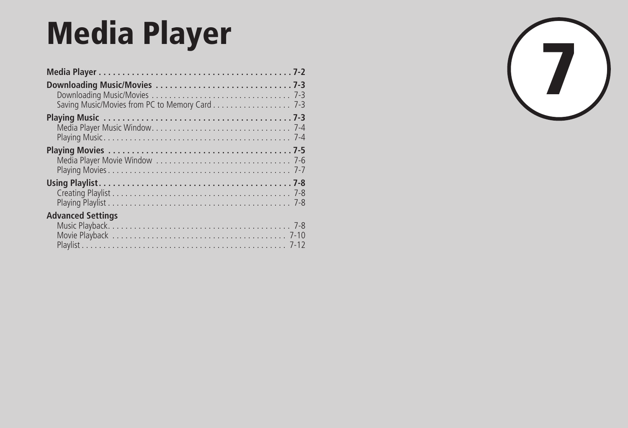| <b>Media Player</b>                            |  |
|------------------------------------------------|--|
|                                                |  |
| Saving Music/Movies from PC to Memory Card 7-3 |  |
|                                                |  |
|                                                |  |
|                                                |  |
| <b>Advanced Settings</b>                       |  |

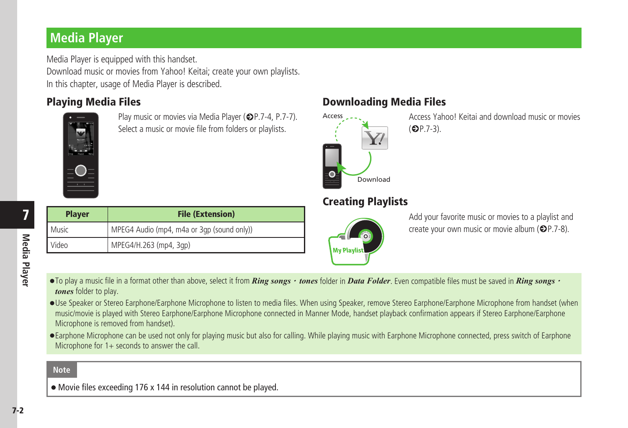# <span id="page-1-0"></span>**Media Player**

Media Player is equipped with this handset. Download music or movies from Yahoo! Keitai; create your own playlists. In this chapter, usage of Media Player is described.



Play music or movies via Media Player ( $\bigcirc$ P.7-4, P.7-7). Select a music or movie file from folders or playlists.

# Playing Media Files Downloading Media Files



**My Playlis** 

Access Yahoo! Keitai and download music or movies  $(\mathbf{6})$  P.7-3).

| <b>Player</b> | <b>File (Extension)</b>                    |  |
|---------------|--------------------------------------------|--|
| Music         | MPEG4 Audio (mp4, m4a or 3gp (sound only)) |  |
| Video         | MPEG4/H.263 (mp4, 3qp)                     |  |

## Creating Playlists Add your favorite music or movies to a playlist and create your own music or movie album  $(\bigotimes P$ . 7-8).

- To play a music file in a format other than above, select it from *Ring songs* · *tones* folder in *Data Folder*. Even compatible files must be saved in *Ring songs* · *tones* folder to play.
- **・** Use Speaker or Stereo Earphone/Earphone Microphone to listen to media files. When using Speaker, remove Stereo Earphone/Earphone Microphone from handset (when music/movie is played with Stereo Earphone/Earphone Microphone connected in Manner Mode, handset playback confirmation appears if Stereo Earphone/Earphone Microphone is removed from handset).
- **・**Earphone Microphone can be used not only for playing music but also for calling. While playing music with Earphone Microphone connected, press switch of Earphone Microphone for 1+ seconds to answer the call.

#### **Note**

**・**Movie files exceeding 176 x 144 in resolution cannot be played.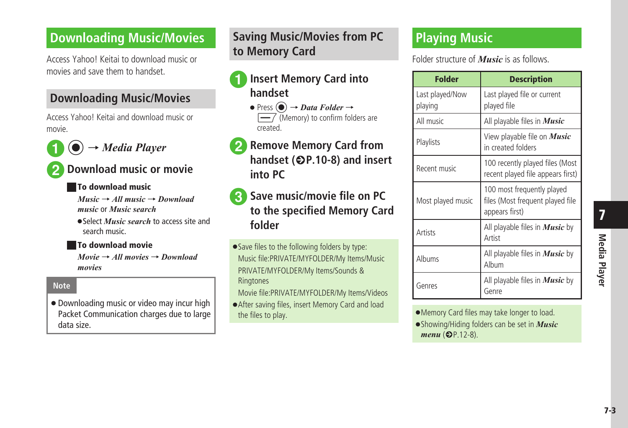# <span id="page-2-0"></span>**Downloading Music/Movies**

Access Yahoo! Keitai to download music or movies and save them to handset.

# **Downloading Music/Movies**

Access Yahoo! Keitai and download music or movie.



**2** Download music or movie

#### **■** To download music

*Music* → *All music* → *Download music* or *Music search*

**・**Select *Music search* to access site and search music.

#### **■** To download movie

*Movie* → *All movies* → *Download movies*

#### **Note**

**・**Downloading music or video may incur high Packet Communication charges due to large data size.

# **Saving Music/Movies from PC to Memory Card**

- a**Insert Memory Card into handset**
	- Press  $\textcircled{\textcircled{\textcirc}} \rightarrow$  *Data Folder*  $\rightarrow$  $\sqrt{\frac{1}{1-\lambda}}$  (Memory) to confirm folders are created.
- **2** Remove Memory Card from **handset (**f**P.10-8) and insert into PC**
- c**Save music/movie file on PC to the specified Memory Card folder**
- Save files to the following folders by type: Music file:PRIVATE/MYFOLDER/My Items/Music PRIVATE/MYFOLDER/My Items/Sounds & **Ringtones**
- Movie file:PRIVATE/MYFOLDER/My Items/Videos
- **•** After saving files, insert Memory Card and load the files to play.

# **Playing Music**

Folder structure of *Music* is as follows.

| <b>Folder</b>              | <b>Description</b>                                                               |
|----------------------------|----------------------------------------------------------------------------------|
| Last played/Now<br>playing | Last played file or current<br>played file                                       |
| All music                  | All playable files in <i>Music</i>                                               |
| Playlists                  | View playable file on <i>Music</i><br>in created folders                         |
| Recent music               | 100 recently played files (Most<br>recent played file appears first)             |
| Most played music          | 100 most frequently played<br>files (Most frequent played file<br>appears first) |
| Artists                    | All playable files in <i>Music</i> by<br>Artist                                  |
| Albums                     | All playable files in <b>Music</b> by<br>Album                                   |
| Genres                     | All playable files in <i>Music</i> by<br>Genre                                   |

**・** Memory Card files may take longer to load. **・**Showing/Hiding folders can be set in *Music* 

 $menu$  ( $\bigcirc$ P.12-8).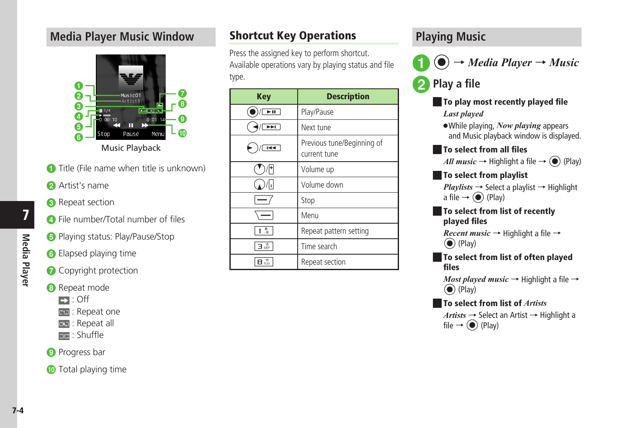# <span id="page-3-0"></span>**Media Player Music Window**



- **a** Title (File name when title is unknown)
- **2** Artist's name
- **a** Repeat section
- **4** File number/Total number of files
- **a** Playing status: Play/Pause/Stop
- **6** Elapsed playing time
- **a** Copyright protection

# **8** Repeat mode

- $\blacksquare$ : Off
- **EXAM**: Repeat one
- **EXE**: Repeat all
- **Exa**: Shuffle

#### **O** Progress bar

**i** Total playing time

# Shortcut Key Operations

Press the assigned key to perform shortcut. Available operations vary by playing status and file type.

| <b>Key</b>                                        | <b>Description</b>                         |
|---------------------------------------------------|--------------------------------------------|
| ►                                                 | Play/Pause                                 |
| $\overline{\mathbb{H}}$                           | Next tune                                  |
| $\overline{1}$                                    | Previous tune/Beginning of<br>current tune |
|                                                   | Volume up                                  |
| 44                                                | Volume down                                |
|                                                   | Stop                                       |
|                                                   | Menu                                       |
| ್ಲಿ                                               | Repeat pattern setting                     |
| $\overline{\mathbf{B}}_{\text{off}}^{\text{eff}}$ | Time search                                |
| 8 ‰                                               | Repeat section                             |

# **Playing Music**



**Play a file** 

# **To play most recently played file** *Last played*

**・**While playing, *Now playing* appears and Music playback window is displayed.

## **■** To select from all files

*All music*  $\rightarrow$  Highlight a file  $\rightarrow$  ( $\rightarrow$ ) (Play)

#### **■** To select from playlist

 $Plavlists \rightarrow Select a plavlist \rightarrow Highlight$ a file  $\rightarrow$  ( $\bullet$ ) (Play)

#### **■** To select from list of recently played files

*Recent music* → Highlight a file →  $\odot$  (Play)

#### **■** To select from list of often played files

*Most played music* → Highlight a file →  $\odot$  (Play)

# **■** To select from list of *Artists*

*Artists* → Select an Artist → Highlight a file  $\rightarrow$  ( $\bullet$ ) (Play)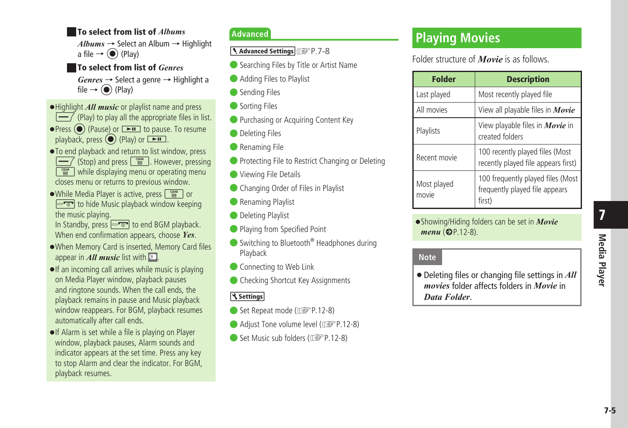#### <span id="page-4-0"></span>**■** To select from list of *Albums*

 $Albums \rightarrow$  Select an Album  $\rightarrow$  Highlight a file  $\rightarrow$  ( $\bullet$ ) (Play)

#### **■** To select from list of *Genres*

*Genres* → Select a genre → Highlight a file  $\rightarrow$  ( $\bullet$ ) (Play)

- **・**Highlight *All music* or playlist name and press
- $\sqrt{\frac{m}{\sqrt{m}}}$  (Play) to play all the appropriate files in list.
- Press  $\odot$  (Pause) or  $\rightarrow$  to pause. To resume playback, press  $\odot$  (Play) or  $\rightarrow$
- **・**To end playback and return to list window, press  $\overline{-7}$  (Stop) and press  $\sqrt{\frac{N_{\text{max}}}{N}}$ . However, pressing  $\sqrt{\frac{cos x}{cos}}$  while displaying menu or operating menu closes menu or returns to previous window.
- While Media Player is active, press  $\sqrt{\frac{d^{2}M}{dQ}}$  or  $\boxed{\neg \neg}$  to hide Music playback window keeping the music playing.
- In Standby, press  $\boxed{\neg \neg \neg}$  to end BGM playback. When end confirmation appears, choose *Yes*.
- **・** When Memory Card is inserted, Memory Card files appear in  $All$  music list with  $\Box$ .
- **・**If an incoming call arrives while music is playing on Media Player window, playback pauses and ringtone sounds. When the call ends, the playback remains in pause and Music playback window reappears. For BGM, playback resumes automatically after call ends.
- **•** If Alarm is set while a file is playing on Player window, playback pauses, Alarm sounds and indicator appears at the set time. Press any key to stop Alarm and clear the indicator. For BGM, playback resumes.

## **Advanced**

1. Advanced Settings (@P.7-8

- Searching Files by Title or Artist Name
- Adding Files to Playlist
- Sending Files
- Sorting Files
- Purchasing or Acquiring Content Key
- Deleting Files
- Renaming File
- Protecting File to Restrict Changing or Deleting
- **O** Viewing File Details
- Changing Order of Files in Playlist
- Renaming Playlist
- Deleting Playlist
- Playing from Specified Point
- Switching to Bluetooth<sup>®</sup> Headphones during Playback
- Connecting to Web Link
- Checking Shortcut Key Assignments

### । ९ Settings

- Set Repeat mode (re P.12-8)
- Adjust Tone volume level (re P.12-8)
- Set Music sub folders ( $\circled{r}$ P.12-8)

# **Playing Movies**

Folder structure of *Movie* is as follows.

| <b>Folder</b>        | <b>Description</b>                                                            |
|----------------------|-------------------------------------------------------------------------------|
| Last played          | Most recently played file                                                     |
| All movies           | View all playable files in <i>Movie</i>                                       |
| Playlists            | View playable files in <i>Movie</i> in<br>created folders                     |
| Recent movie         | 100 recently played files (Most<br>recently played file appears first)        |
| Most played<br>movie | 100 frequently played files (Most<br>frequently played file appears<br>first) |

**・**Showing/Hiding folders can be set in *Movie menu* ( $P.12-8$ ).

## **Note**

**・**Deleting files or changing file settings in *All movies* folder affects folders in *Movie* in *Data Folder*.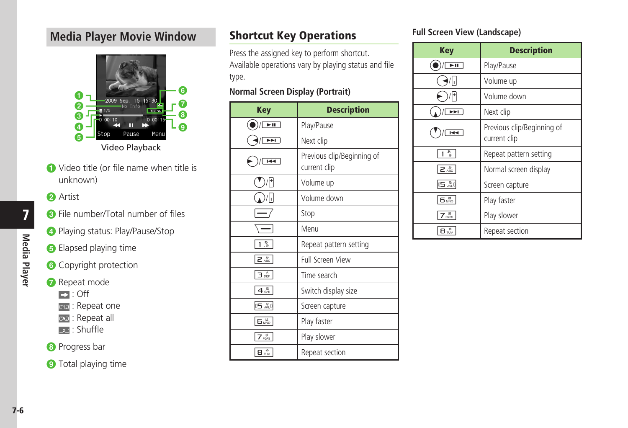# <span id="page-5-0"></span>**Media Player Movie Window**



 $\bigcirc$  Video title (or file name when title is unknown)

#### **a** Artist

- **a** File number/Total number of files
- d Playing status: Play/Pause/Stop
- **B** Elapsed playing time
- **6** Copyright protection
- **a** Repeat mode
	- $\Box$ : Off
	- **KED**: Repeat one
	- **EXE**: Repeat all
	- $\equiv$  : Shuffle

# **a** Progress bar

**O** Total playing time

# Shortcut Key Operations

Press the assigned key to perform shortcut. Available operations vary by playing status and file type.

### **Normal Screen Display (Portrait)**

| <b>Key</b>                         | <b>Description</b>                         |
|------------------------------------|--------------------------------------------|
| $\overline{\phantom{1}}$           | Play/Pause                                 |
| $\overline{\phantom{a}}$           | Next clip                                  |
| $\overline{1}$                     | Previous clip/Beginning of<br>current clip |
|                                    | Volume up                                  |
| ı.                                 | Volume down                                |
|                                    | Stop                                       |
|                                    | Menu                                       |
| 高                                  | Repeat pattern setting                     |
| $2 \frac{D}{ABC}$                  | <b>Full Screen View</b>                    |
| Зœ                                 | Time search                                |
| 4 <sub>GH</sub>                    | Switch display size                        |
| 05. 20                             | Screen capture                             |
| – Б⊯ю                              | Play faster                                |
| $7\frac{1}{1000}$                  | Play slower                                |
| $\mathbf{B} \stackrel{\phi}{\sim}$ | Repeat section                             |

# **Full Screen View (Landscape)**

| <b>Key</b>                | <b>Description</b>                         |
|---------------------------|--------------------------------------------|
| $\overline{\blacksquare}$ | Play/Pause                                 |
| Ы                         | Volume up                                  |
|                           | Volume down                                |
| ⋗⋗∣                       | Next clip                                  |
| $\overline{1}$            | Previous clip/Beginning of<br>current clip |
| .정                        | Repeat pattern setting                     |
| 2 <sup>b</sup>            | Normal screen display                      |
| $05\frac{R}{100}$         | Screen capture                             |
| <b>Б.</b> Во              | Play faster                                |
| 7 <sub>1</sub>            | Play slower                                |
| 8 ™                       | Repeat section                             |

7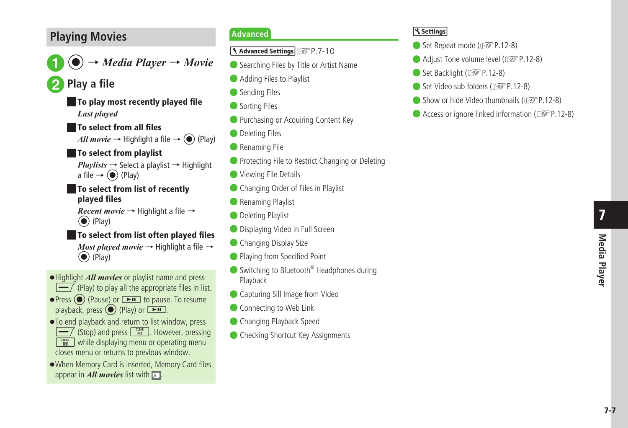# <span id="page-6-0"></span>**Playing Movies**

a<sup>c</sup> <sup>→</sup> *Media Player* <sup>→</sup> *Movie*

**Play a file** 

**■** To play most recently played file *Last played*

**■** To select from all files

*All movie*  $\rightarrow$  Highlight a file  $\rightarrow$  ( $\rightarrow$  (Play)

## **■** To select from playlist

*Playlists* → Select a playlist → Highlight a file  $\rightarrow$  ( $\bullet$ ) (Play)

#### **■** To select from list of recently played files

*Recent movie* → Highlight a file →  $\left(\bullet\right)$  (Play)

### **■** To select from list often played files

*Most played movie* → Highlight a file →  $\odot$  (Play)

- **・**Highlight *All movies* or playlist name and press
- $\boxed{\longrightarrow}$  (Play) to play all the appropriate files in list. • Press  $\odot$  (Pause) or **EI** to pause. To resume
- playback, press  $\odot$  (Play) or  $\rightarrow$
- **・**To end playback and return to list window, press  $\boxed{\longrightarrow}$  (Stop) and press  $\boxed{\cong}$ . However, pressing
- $\sqrt{\frac{C_{\text{max}}}{R}}$  while displaying menu or operating menu
- closes menu or returns to previous window. **・** When Memory Card is inserted, Memory Card files appear in  $All$  movies list with  $\boxed{3}$ .

# **Advanced**

1. Advanced Settings (@P.7-10

- Searching Files by Title or Artist Name
- Adding Files to Playlist
- Sending Files
- Sorting Files
- Purchasing or Acquiring Content Key
- Deleting Files
- Renaming File
- Protecting File to Restrict Changing or Deleting
- **O** Viewing File Details
- Changing Order of Files in Playlist
- Renaming Playlist
- Deleting Playlist
- Displaying Video in Full Screen
- Changing Display Size
- Playing from Specified Point
- Switching to Bluetooth<sup>®</sup> Headphones during Playback
- Capturing Sill Image from Video
- Connecting to Web Link
- Changing Playback Speed
- Checking Shortcut Key Assignments

#### <u>। १९ settings</u>

- Set Repeat mode ( $\circ$ P.12-8)
- Adjust Tone volume level ( $\otimes$ P.12-8)
- Set Backlight ( $\circled{r}$ P.12-8)
- Set Video sub folders (r<sup>2</sup>P.12-8)
- $\bullet$  Show or hide Video thumbnails ( $\circ$ P.12-8)
- Access or ignore linked information ( $\mathbb{CP}$  P.12-8)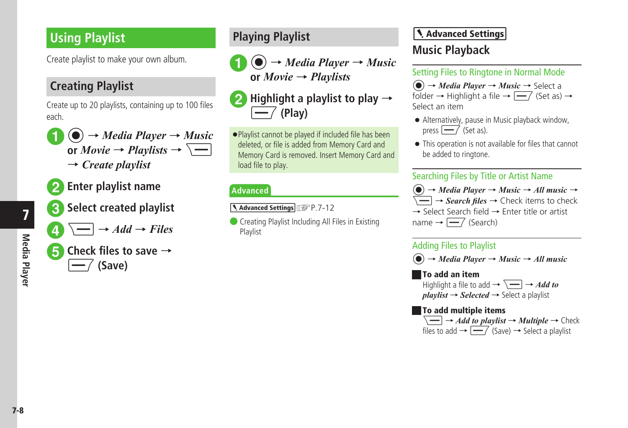# <span id="page-7-0"></span>**Using Playlist**

Create playlist to make your own album.

# **Creating Playlist**

Create up to 20 playlists, containing up to 100 files each.

- $\bigcirc$   $\rightarrow$  *Media Player*  $\rightarrow$  *Music* **or** *Movie*  $\rightarrow$  *Playlists*  $\rightarrow$   $\overline{\setminus}$ → *Create playlist*
- **2** Enter playlist name
- c**Select created playlist**
	- $\Box \rightarrow$  *Add*  $\rightarrow$  *Files*

e**Check files to save** <sup>→</sup> w **(Save)**

**Playing Playlist**



 $\left( \bullet \right) \rightarrow$  *Media Player*  $\rightarrow$  *Music* **or** *Movie* → *Playlists*



**・** Playlist cannot be played if included file has been deleted, or file is added from Memory Card and Memory Card is removed. Insert Memory Card and load file to play.

# **Advanced**

1. Advanced Settings (@P.7-12

**Creating Playlist Including All Files in Existing** Playlist

# Advanced Settings **Music Playback**

# Setting Files to Ringtone in Normal Mode

c → *Media Player* → *Music* → Select a folder  $\rightarrow$  Highlight a file  $\rightarrow \boxed{-7}$  (Set as)  $\rightarrow$ Select an item

- **・**Alternatively, pause in Music playback window, press  $\boxed{\longrightarrow}$  (Set as).
- **・** This operation is not available for files that cannot be added to ringtone.

# Searching Files by Title or Artist Name

 $\phi$   $\rightarrow$  *Media Player*  $\rightarrow$  *Music*  $\rightarrow$  *All music*  $\rightarrow$  $\leftarrow$   $\rightarrow$  *Search files*  $\rightarrow$  Check items to check → Select Search field → Enter title or artist name  $\rightarrow \boxed{-7}$  (Search)

# Adding Files to Playlist

 $\left( \widehat{\bullet} \right) \rightarrow Media Player \rightarrow Music \rightarrow All music$ 

## **■** To add an item

Highlight a file to add  $\rightarrow \Box \rightarrow Add$  to  $plavlist \rightarrow Selected \rightarrow$  Select a playlist

## **■** To add multiple items

 $\leftarrow$   $\rightarrow$  *Add to playlist*  $\rightarrow$  *Multiple*  $\rightarrow$  Check files to add  $\rightarrow \sqrt{ }$  (Save)  $\rightarrow$  Select a playlist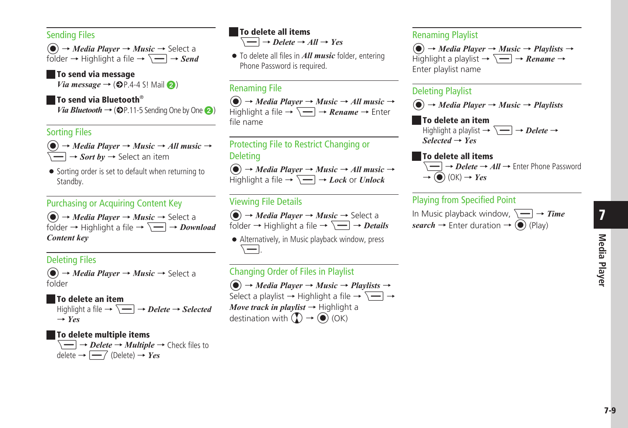#### Sending Files

c → *Media Player* → *Music* → Select a folder  $\rightarrow$  Highlight a file  $\rightarrow \overline{\setminus -}$   $\rightarrow$  *Send* 

**■** To send via message *Via message*  $\rightarrow$  ( $\oplus$ P.4-4 S! Mail  $\odot$ )

## **■** To send via Bluetooth®

*Via Bluetooth*  $\rightarrow$  ( $\odot$ P.11-5 Sending One by One  $\odot$ )

#### Sorting Files

 $\left(\bigcirc$   $\right) \rightarrow$  *Media Player*  $\rightarrow$  *Music*  $\rightarrow$  *All music*  $\rightarrow$  $\leftarrow$   $\rightarrow$  *Sort by*  $\rightarrow$  Select an item

● Sorting order is set to default when returning to Standby.

## Purchasing or Acquiring Content Key

 $\left( \right) \rightarrow$  *Media Player*  $\rightarrow$  *Music*  $\rightarrow$  Select a folder  $\rightarrow$  Highlight a file  $\rightarrow \overline{\setminus -}$   $\rightarrow$  *Download Content key*

## Deleting Files

 $\left(\bullet\right) \rightarrow$  *Media Player*  $\rightarrow$  *Music*  $\rightarrow$  Select a folder

#### **■** To delete an item

Highlight a file  $\rightarrow \overline{\setminus -}$   $\rightarrow$  *Delete*  $\rightarrow$  *Selected* → *Yes*

#### **■** To delete multiple items

 $\overline{\phantom{a}}\longrightarrow$  *Delete*  $\rightarrow$  *Multiple*  $\rightarrow$  Check files to delete  $\rightarrow \boxed{-7}$  (Delete)  $\rightarrow$  *Yes* 

## **■** To delete all items

 $\leftarrow$   $\rightarrow$  *Delete*  $\rightarrow$  *All*  $\rightarrow$  *Yes* 

**・** To delete all files in *All music* folder, entering Phone Password is required.

#### Renaming File

 $\phi$   $\rightarrow$  *Media Player*  $\rightarrow$  *Music*  $\rightarrow$  *All music*  $\rightarrow$ Highlight a file  $\rightarrow \overline{ } \rightarrow$  **Rename**  $\rightarrow$  Enter file name

### Protecting File to Restrict Changing or Deleting

 $\left( \widehat{\bullet} \right) \rightarrow Media Player \rightarrow Music \rightarrow All music \rightarrow$ Highlight a file  $\rightarrow \Box \rightarrow \text{Lock}$  or *Unlock* 

## Viewing File Details



**・**Alternatively, in Music playback window, press o.

# Changing Order of Files in Playlist

 $\left( \widehat{\bullet} \right) \rightarrow Media Player \rightarrow Music \rightarrow Playlists \rightarrow$ Select a playlist  $\rightarrow$  Highlight a file  $\rightarrow \overline{\setminus -}$   $\rightarrow$ *Move track in playlist* → Highlight a destination with  $\overline{(\Omega)} \rightarrow \widehat{(\bullet)}$  (OK)

#### Renaming Playlist

 $\left(\bigcirc \right) \rightarrow$  *Media Player*  $\rightarrow$  *Music*  $\rightarrow$  *Playlists*  $\rightarrow$ Highlight a playlist  $\rightarrow \overline{\setminus -}$   $\rightarrow$  *Rename*  $\rightarrow$ Enter playlist name

#### Deleting Playlist

 $\left( \widehat{\bullet} \right) \rightarrow Media Player \rightarrow Music \rightarrow Playlists$ 

#### **■** To delete an item Highlight a playlist  $\rightarrow \overline{\setminus -}$   $\rightarrow$  *Delete*  $\rightarrow$ *Selected* → *Yes*

### **■** To delete all items  $\boxed{\longrightarrow}$  *Delete*  $\rightarrow$  *All*  $\rightarrow$  Enter Phone Password  $\rightarrow$  ( $\bullet$ ) (OK)  $\rightarrow$  *Yes*

# Playing from Specified Point



7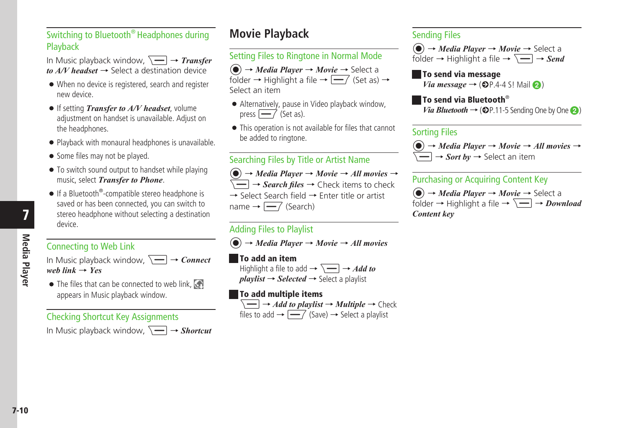# <span id="page-9-0"></span>Switching to Bluetooth® Headphones during Playback

In Music playback window,  $\sqrt{-}$   $\rightarrow$  *Transfer* 

- $to A/V$  *headset*  $\rightarrow$  Select a destination device
- **・**When no device is registered, search and register new device.
- **・**If setting *Transfer to A/V headset*, volume adjustment on handset is unavailable. Adjust on the headphones.
- **・**Playback with monaural headphones is unavailable.
- Some files may not be played.
- To switch sound output to handset while playing music, select *Transfer to Phone*.
- If a Bluetooth<sup>®</sup>-compatible stereo headphone is saved or has been connected, you can switch to stereo headphone without selecting a destination device.

7

# Connecting to Web Link

In Music playback window,  $\boxed{\phantom{0}} \rightarrow$  *Connect web link* → *Yes*

• The files that can be connected to web link,  $\mathbb{S}^n$ appears in Music playback window.

#### Checking Shortcut Key Assignments

In Music playback window.  $\boxed{ } \rightarrow$  *Shortcut* 

# **Movie Playback**

# Setting Files to Ringtone in Normal Mode

c → *Media Player* → *Movie* → Select a folder  $\rightarrow$  Highlight a file  $\rightarrow$   $\rightarrow$  (Set as)  $\rightarrow$ Select an item

- **・**Alternatively, pause in Video playback window, press  $\boxed{--}$  (Set as).
- **・** This operation is not available for files that cannot be added to ringtone.

#### Searching Files by Title or Artist Name

 $\phi$   $\rightarrow$  *Media Player*  $\rightarrow$  *Movie*  $\rightarrow$  *All movies*  $\rightarrow$  $\leftarrow$   $\rightarrow$  *Search files*  $\rightarrow$  Check items to check → Select Search field → Enter title or artist name  $\rightarrow \boxed{-7}$  (Search)

#### Adding Files to Playlist

 $\phi$   $\rightarrow$  *Media Player*  $\rightarrow$  *Movie*  $\rightarrow$  *All movies* 

#### **■** To add an item

Highlight a file to add  $\rightarrow \overline{\setminus -}$   $\rightarrow$  *Add to*  $playlist \rightarrow Selected \rightarrow Select$  a playlist

#### **■** To add multiple items



#### Sending Files

 $\left( \widehat{\bullet} \right) \rightarrow Media Player \rightarrow Movie \rightarrow Select a$ folder  $\rightarrow$  Highlight a file  $\rightarrow \overline{\setminus -}$   $\rightarrow$  *Send* 

**■** To send via message *Via message*  $\rightarrow$  ( $\oplus$ P.4-4 S! Mail  $\odot$ )

**■** To send via Bluetooth® *Via Bluetooth*  $\rightarrow$  ( $\odot$ P.11-5 Sending One by One  $\odot$ )

#### Sorting Files

 $\left( \widehat{\bullet} \right) \rightarrow Media Player \rightarrow Movie \rightarrow All movies \rightarrow$ → *Sort by* → Select an item

#### Purchasing or Acquiring Content Key

c → *Media Player* → *Movie* → Select a folder  $\rightarrow$  Highlight a file  $\rightarrow \overline{\setminus -}$   $\rightarrow$  *Download Content key*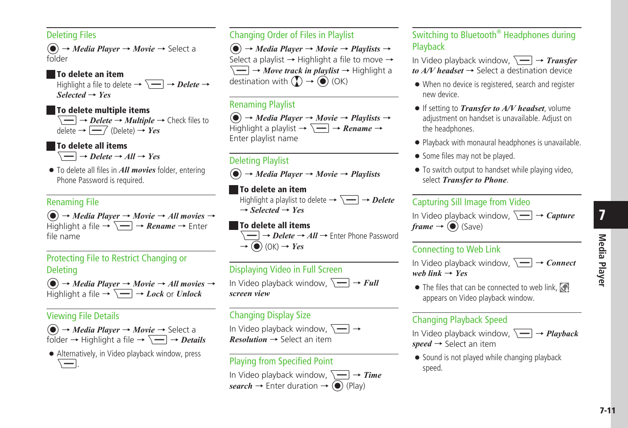#### Deleting Files

c → *Media Player* → *Movie* → Select a folder

## **■** To delete an item

Highlight a file to delete  $\rightarrow \overline{\searrow}$   $\rightarrow$  *Delete*  $\rightarrow$ *Selected* → *Yes*

#### **■** To delete multiple items

 $\overline{\phantom{a}}$   $\rightarrow$  *Delete*  $\rightarrow$  *Multiple*  $\rightarrow$  Check files to  $delete \rightarrow \boxed{\longrightarrow}$  (Delete)  $\rightarrow Yes$ 

# **■** To delete all items

 $\overline{\phantom{a}}$   $\rightarrow$  *Delete*  $\rightarrow$  *All*  $\rightarrow$  *Yes* 

**・** To delete all files in *All movies* folder, entering Phone Password is required.

# Renaming File

 $\phi$   $\rightarrow$  *Media Player*  $\rightarrow$  *Movie*  $\rightarrow$  *All movies*  $\rightarrow$ Highlight a file  $\rightarrow \overline{\setminus -}$   $\rightarrow$  *Rename*  $\rightarrow$  Enter file name

# Protecting File to Restrict Changing or Deleting

 $\left(\bigcirc$   $\right) \rightarrow$  *Media Player*  $\rightarrow$  *Movie*  $\rightarrow$  *All movies*  $\rightarrow$ Highlight a file  $\rightarrow \Box \rightarrow$  *Lock* or *Unlock* 

## Viewing File Details



**・**Alternatively, in Video playback window, press \<u>—</u>].

## Changing Order of Files in Playlist

 $\left( \widehat{\bullet} \right) \rightarrow$  *Media Player*  $\rightarrow$  *Movie*  $\rightarrow$  *Playlists*  $\rightarrow$ Select a playlist  $\rightarrow$  Highlight a file to move  $\rightarrow$  $\leftarrow$   $\rightarrow$  *Move track in playlist*  $\rightarrow$  Highlight a destination with  $\mathbb{Q} \rightarrow \mathbb{Q}$  (OK)

# Renaming Playlist

 $\left( \widehat{\bullet} \right) \rightarrow$  *Media Player*  $\rightarrow$  *Movie*  $\rightarrow$  *Playlists*  $\rightarrow$ Highlight a playlist  $\rightarrow \Box \rightarrow$  **Rename**  $\rightarrow$ Enter playlist name

# Deleting Playlist

c → *Media Player* → *Movie* → *Playlists*

# **■** To delete an item

Highlight a playlist to delete  $\rightarrow \overline{\setminus -}$   $\rightarrow$  *Delete*  $\rightarrow$  *Selected*  $\rightarrow$  *Yes* 

## **■** To delete all items

 $\rightarrow$  ( $\bullet$ ) (OK)  $\rightarrow$  *Yes* 

→ *Delete* → *All* → Enter Phone Password

# Displaying Video in Full Screen

In Video playback window,  $\boxed{\longrightarrow}$  **Full** *screen view*

# Changing Display Size

In Video playback window,  $\sqrt{\phantom{a}}\rightarrow$ *Resolution* → Select an item

# Playing from Specified Point

In Video playback window,  $\sqrt{-} \rightarrow$  **Time**  $search \rightarrow$  Enter duration  $\rightarrow$  ( $\bullet$ ) (Play)

# Switching to Bluetooth® Headphones during Playback

In Video playback window,  $\sqrt{\rightarrow}$  *Transfer*  $to A/V$  *headset*  $\rightarrow$  Select a destination device

- **・**When no device is registered, search and register new device.
- **・**If setting to *Transfer to A/V headset*, volume adjustment on handset is unavailable. Adjust on the headphones.
- **・**Playback with monaural headphones is unavailable.
- Some files may not be played.
- To switch output to handset while playing video. select *Transfer to Phone*.

# Capturing Sill Image from Video

In Video playback window,  $\boxed{\phantom{0}} \rightarrow \textit{Capture}$  $frame \rightarrow \textcircled{\textcircled{\textcirc}}$  (Save)

# Connecting to Web Link

In Video playback window,  $\boxed{\longrightarrow} \rightarrow$  *Connect*  $web link \rightarrow Yes$ 

• The files that can be connected to web link, appears on Video playback window.

# Changing Playback Speed

In Video playback window,  $\boxed{\phantom{2}} \rightarrow$  *Playback speed* → Select an item

● Sound is not played while changing playback speed.